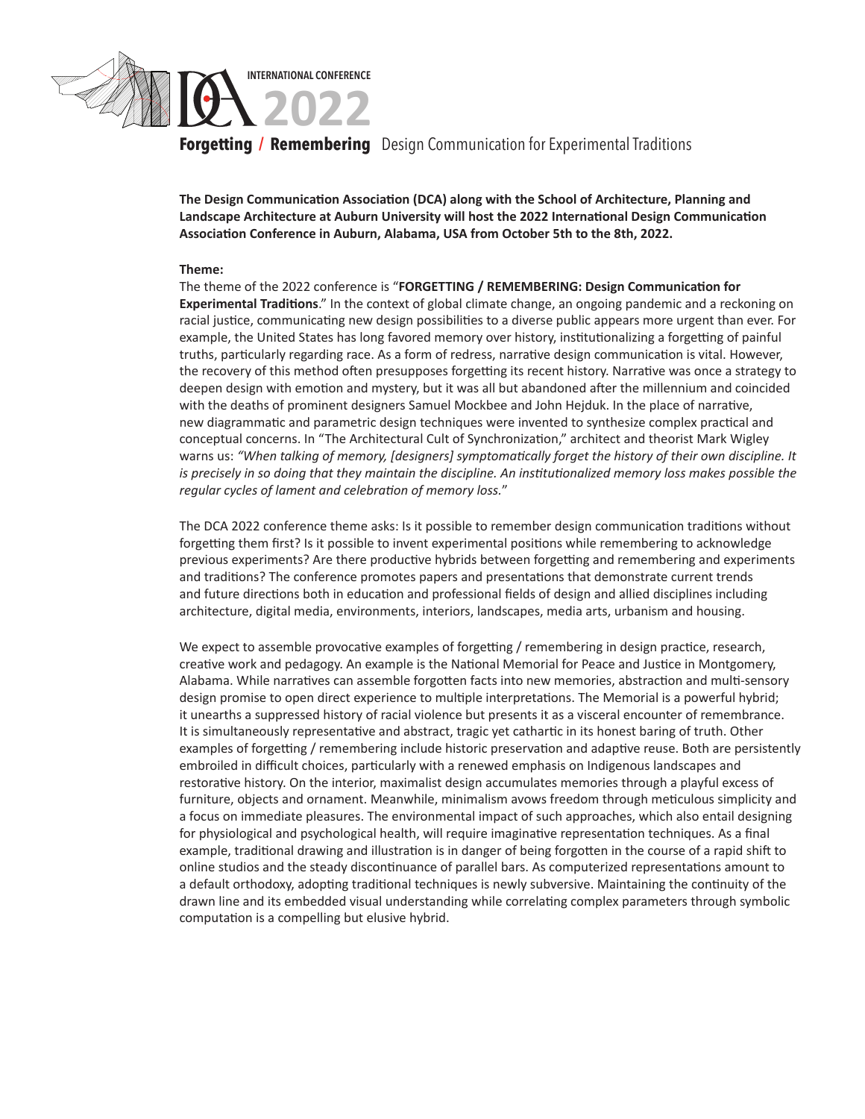

**Forgetting / Remembering** Design Communication for Experimental Traditions

**The Design Communication Association (DCA) along with the School of Architecture, Planning and Landscape Architecture at Auburn University will host the 2022 International Design Communication Association Conference in Auburn, Alabama, USA from October 5th to the 8th, 2022.** 

#### **Theme:**

The theme of the 2022 conference is "**FORGETTING / REMEMBERING: Design Communication for Experimental Traditions**." In the context of global climate change, an ongoing pandemic and a reckoning on racial justice, communicating new design possibilities to a diverse public appears more urgent than ever. For example, the United States has long favored memory over history, institutionalizing a forgetting of painful truths, particularly regarding race. As a form of redress, narrative design communication is vital. However, the recovery of this method often presupposes forgetting its recent history. Narrative was once a strategy to deepen design with emotion and mystery, but it was all but abandoned after the millennium and coincided with the deaths of prominent designers Samuel Mockbee and John Hejduk. In the place of narrative, new diagrammatic and parametric design techniques were invented to synthesize complex practical and conceptual concerns. In "The Architectural Cult of Synchronization," architect and theorist Mark Wigley warns us: *"When talking of memory, [designers] symptomatically forget the history of their own discipline. It is precisely in so doing that they maintain the discipline. An institutionalized memory loss makes possible the regular cycles of lament and celebration of memory loss.*"

The DCA 2022 conference theme asks: Is it possible to remember design communication traditions without forgetting them first? Is it possible to invent experimental positions while remembering to acknowledge previous experiments? Are there productive hybrids between forgetting and remembering and experiments and traditions? The conference promotes papers and presentations that demonstrate current trends and future directions both in education and professional fields of design and allied disciplines including architecture, digital media, environments, interiors, landscapes, media arts, urbanism and housing.

We expect to assemble provocative examples of forgetting / remembering in design practice, research, creative work and pedagogy. An example is the National Memorial for Peace and Justice in Montgomery, Alabama. While narratives can assemble forgotten facts into new memories, abstraction and multi-sensory design promise to open direct experience to multiple interpretations. The Memorial is a powerful hybrid; it unearths a suppressed history of racial violence but presents it as a visceral encounter of remembrance. It is simultaneously representative and abstract, tragic yet cathartic in its honest baring of truth. Other examples of forgetting / remembering include historic preservation and adaptive reuse. Both are persistently embroiled in difficult choices, particularly with a renewed emphasis on Indigenous landscapes and restorative history. On the interior, maximalist design accumulates memories through a playful excess of furniture, objects and ornament. Meanwhile, minimalism avows freedom through meticulous simplicity and a focus on immediate pleasures. The environmental impact of such approaches, which also entail designing for physiological and psychological health, will require imaginative representation techniques. As a final example, traditional drawing and illustration is in danger of being forgotten in the course of a rapid shift to online studios and the steady discontinuance of parallel bars. As computerized representations amount to a default orthodoxy, adopting traditional techniques is newly subversive. Maintaining the continuity of the drawn line and its embedded visual understanding while correlating complex parameters through symbolic computation is a compelling but elusive hybrid.